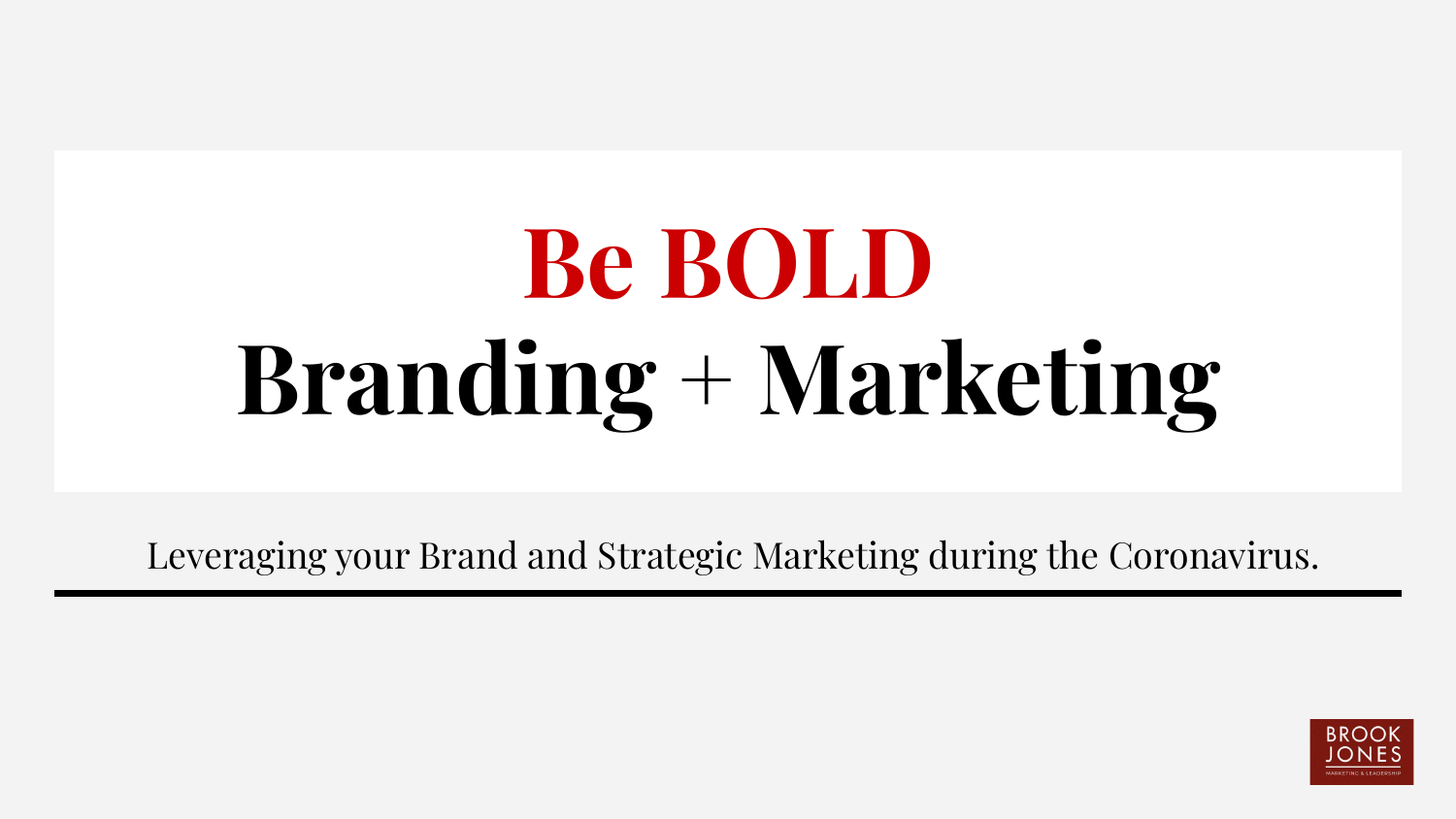# **Be BOLD Branding + Marketing**

Leveraging your Brand and Strategic Marketing during the Coronavirus.

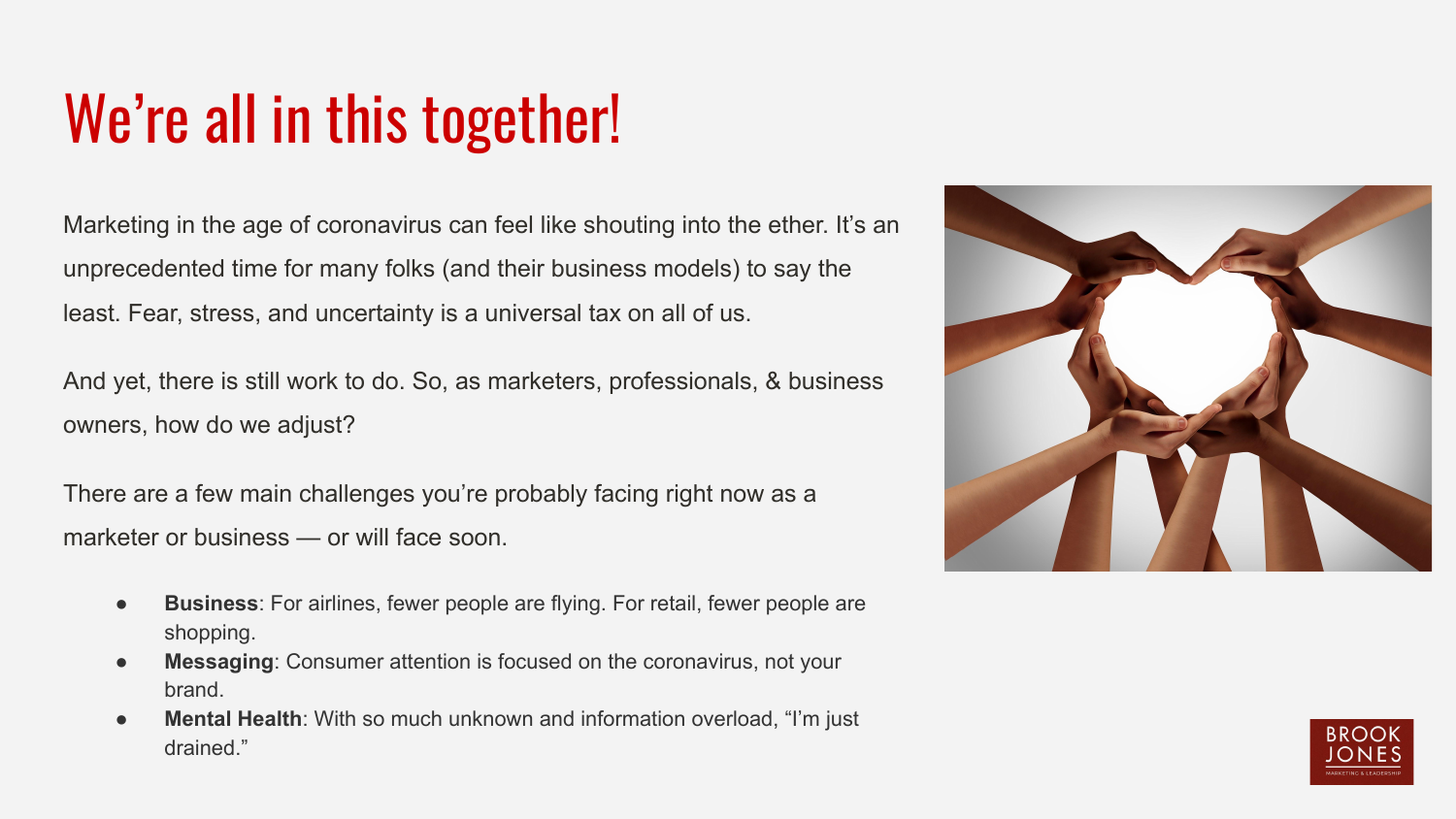## We're all in this together!

Marketing in the age of coronavirus can feel like shouting into the ether. It's an unprecedented time for many folks (and their business models) to say the least. Fear, stress, and uncertainty is a universal tax on all of us.

And yet, there is still work to do. So, as marketers, professionals, & business owners, how do we adjust?

There are a few main challenges you're probably facing right now as a marketer or business — or will face soon.

- **Business**: For airlines, fewer people are flying. For retail, fewer people are shopping.
- **Messaging:** Consumer attention is focused on the coronavirus, not your brand.
- **Mental Health:** With so much unknown and information overload, "I'm just drained."



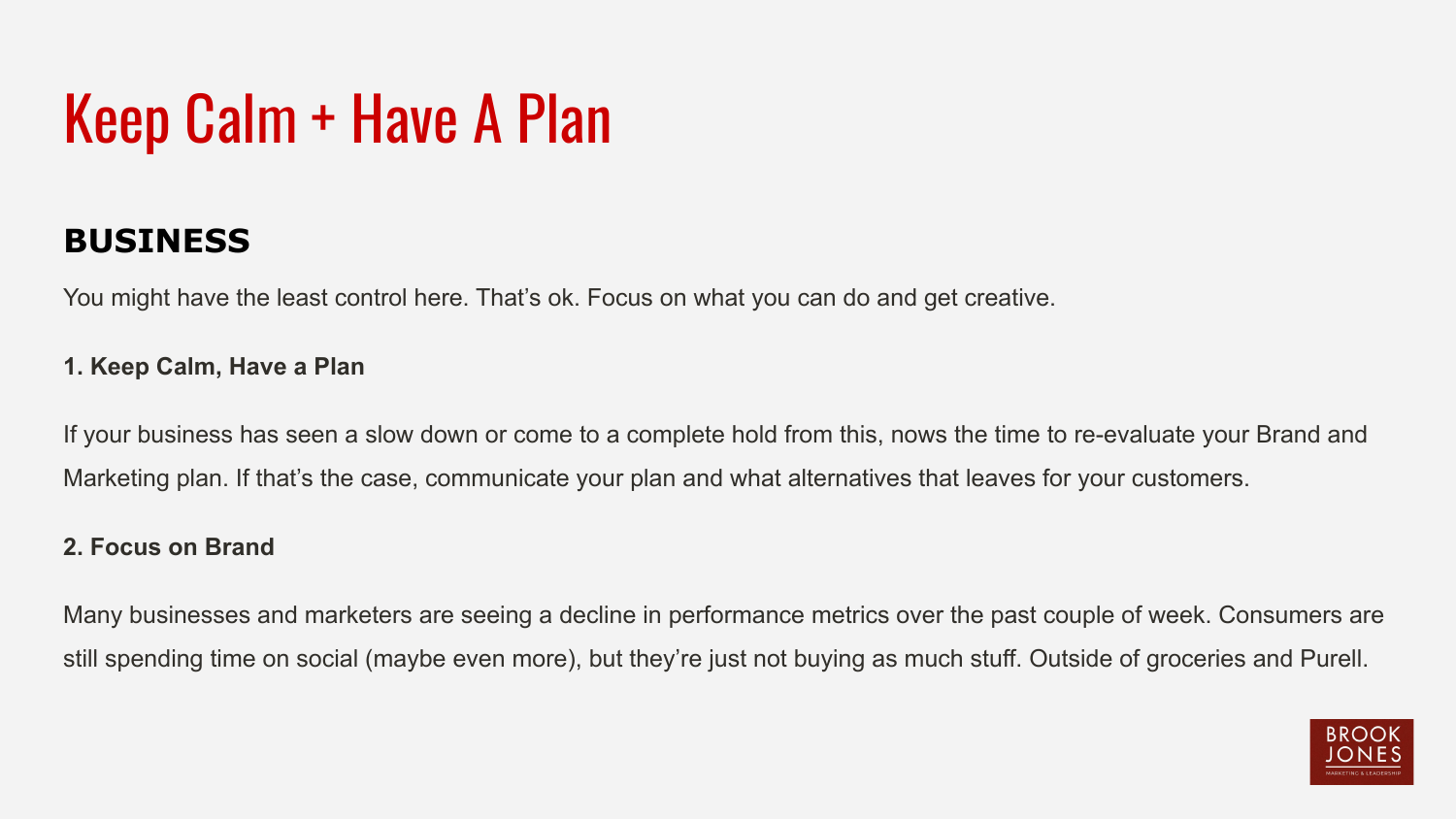## Keep Calm + Have A Plan

### **BUSINESS**

You might have the least control here. That's ok. Focus on what you can do and get creative.

#### **1. Keep Calm, Have a Plan**

If your business has seen a slow down or come to a complete hold from this, nows the time to re-evaluate your Brand and Marketing plan. If that's the case, communicate your plan and what alternatives that leaves for your customers.

#### **2. Focus on Brand**

Many businesses and marketers are seeing a decline in performance metrics over the past couple of week. Consumers are still spending time on social (maybe even more), but they're just not buying as much stuff. Outside of groceries and Purell.

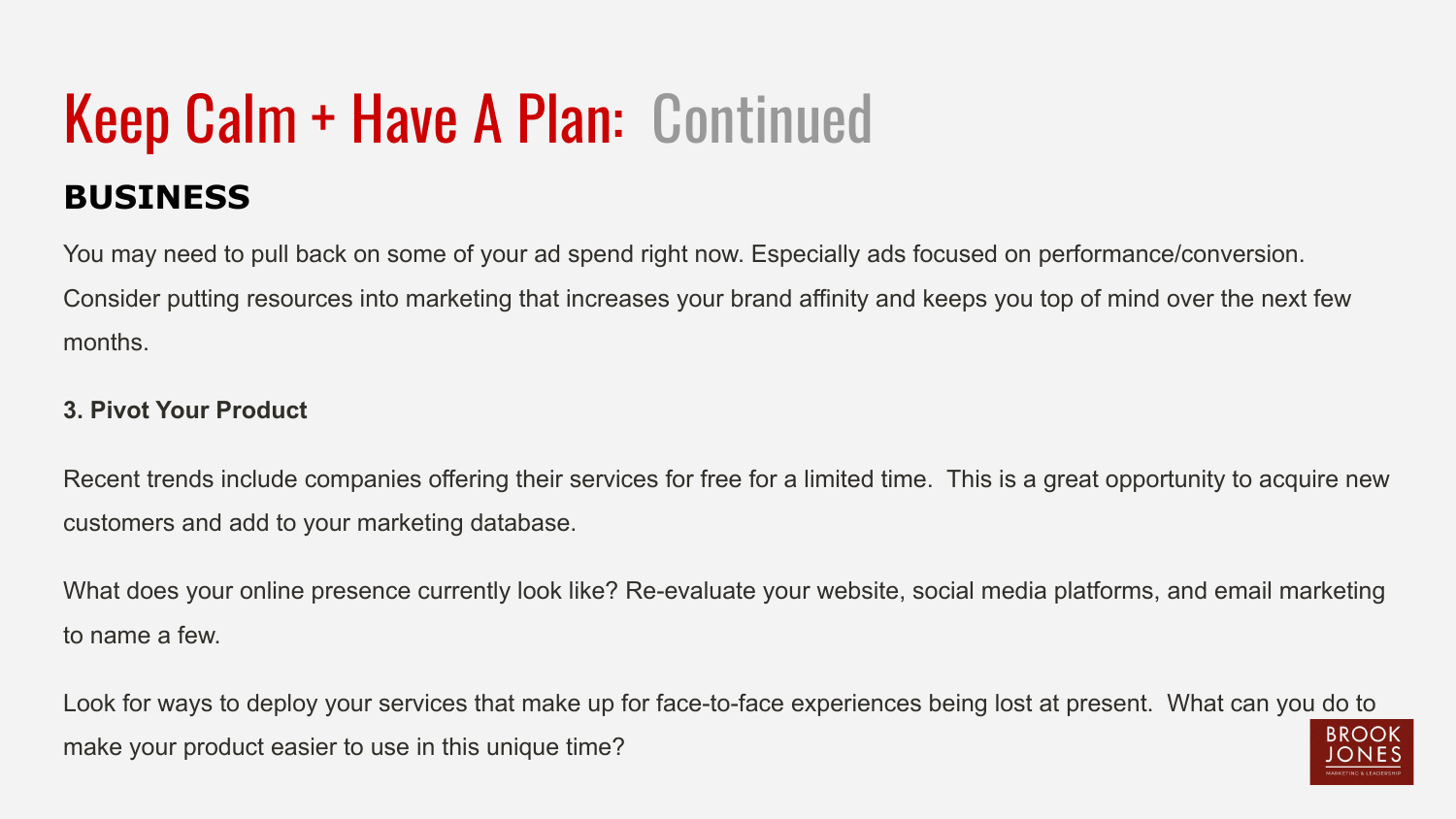# Keep Calm + Have A Plan: Continued

### **BUSINESS**

You may need to pull back on some of your ad spend right now. Especially ads focused on performance/conversion. Consider putting resources into marketing that increases your brand affinity and keeps you top of mind over the next few months.

#### **3. Pivot Your Product**

Recent trends include companies offering their services for free for a limited time. This is a great opportunity to acquire new customers and add to your marketing database.

What does your online presence currently look like? Re-evaluate your website, social media platforms, and email marketing to name a few.

Look for ways to deploy your services that make up for face-to-face experiences being lost at present. What can you do to RROOK make your product easier to use in this unique time?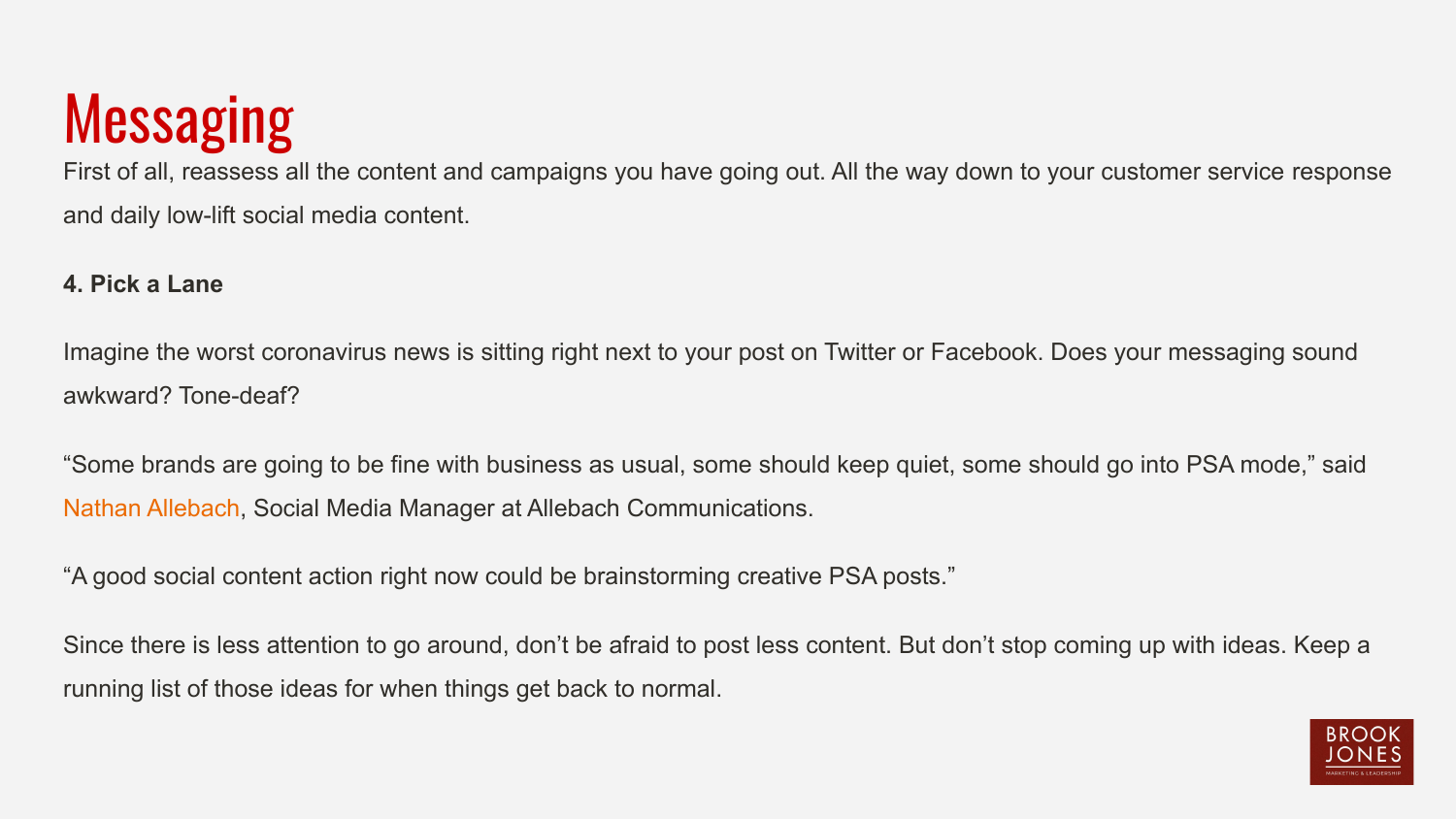## **Messaging**

First of all, reassess all the content and campaigns you have going out. All the way down to your customer service response and daily low-lift social media content.

#### **4. Pick a Lane**

Imagine the worst coronavirus news is sitting right next to your post on Twitter or Facebook. Does your messaging sound awkward? Tone-deaf?

"Some brands are going to be fine with business as usual, some should keep quiet, some should go into PSA mode," said [Nathan Allebach,](https://twitter.com/nathanallebach) Social Media Manager at Allebach Communications.

"A good social content action right now could be brainstorming creative PSA posts."

Since there is less attention to go around, don't be afraid to post less content. But don't stop coming up with ideas. Keep a running list of those ideas for when things get back to normal.

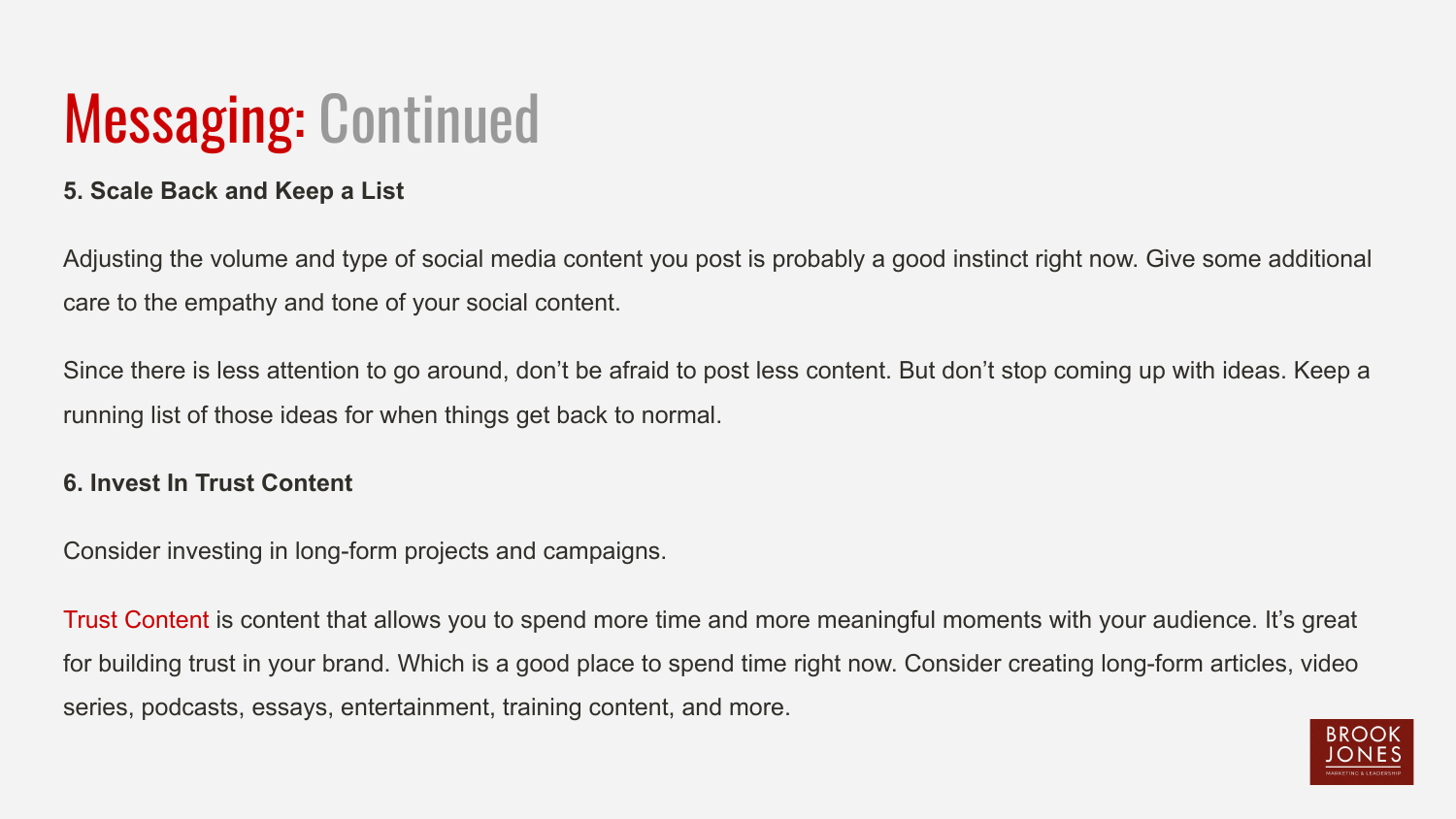### Messaging: Continued

#### **5. Scale Back and Keep a List**

Adjusting the volume and type of social media content you post is probably a good instinct right now. Give some additional care to the empathy and tone of your social content.

Since there is less attention to go around, don't be afraid to post less content. But don't stop coming up with ideas. Keep a running list of those ideas for when things get back to normal.

#### **6. Invest In Trust Content**

Consider investing in long-form projects and campaigns.

[Trust Content](https://www.socialfresh.com/trust-content/) is content that allows you to spend more time and more meaningful moments with your audience. It's great for building trust in your brand. Which is a good place to spend time right now. Consider creating long-form articles, video series, podcasts, essays, entertainment, training content, and more.

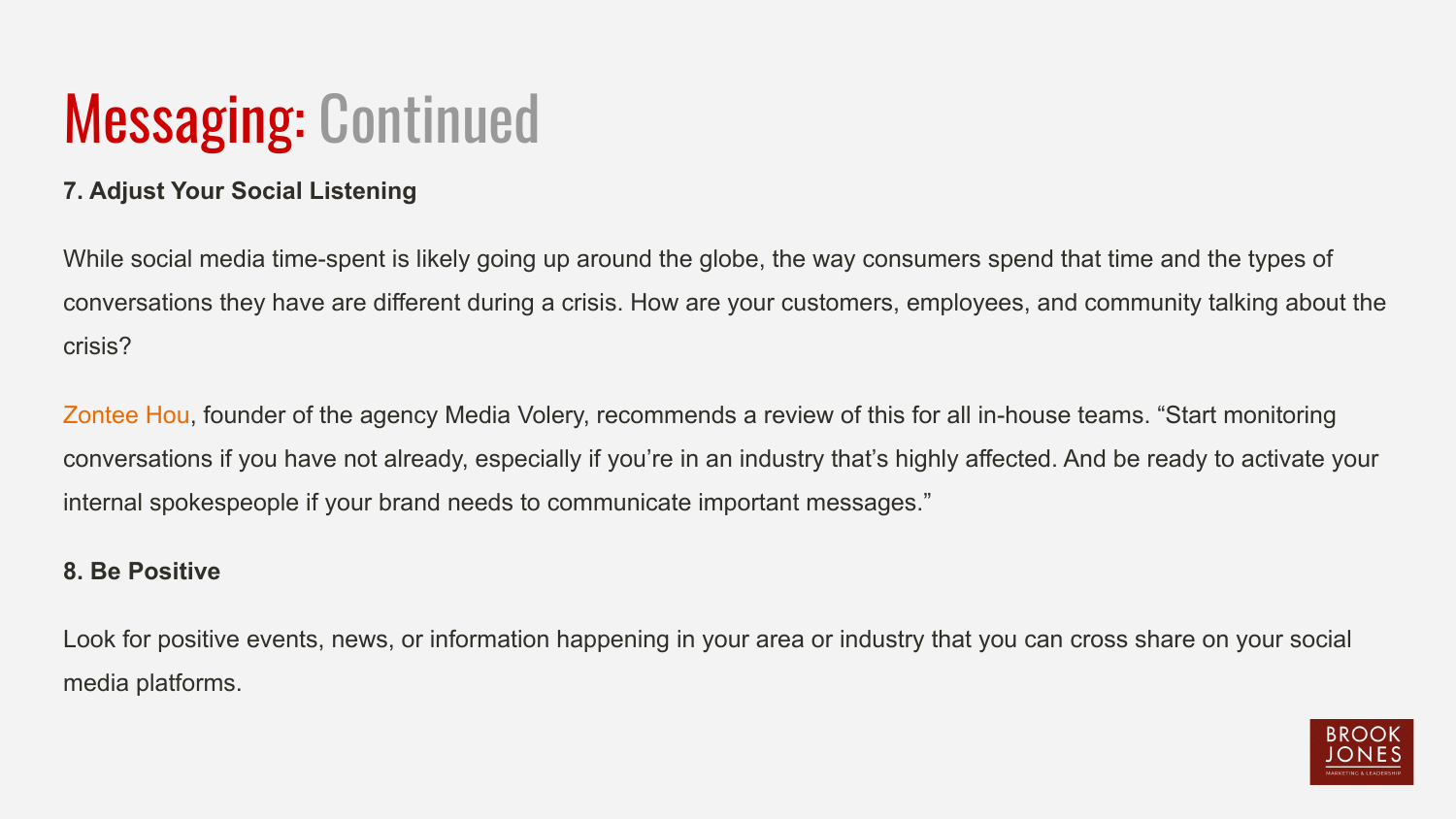### Messaging: Continued

#### **7. Adjust Your Social Listening**

While social media time-spent is likely going up around the globe, the way consumers spend that time and the types of conversations they have are different during a crisis. How are your customers, employees, and community talking about the crisis?

[Zontee Hou](https://twitter.com/ZonteeHou), founder of the agency Media Volery, recommends a review of this for all in-house teams. "Start monitoring conversations if you have not already, especially if you're in an industry that's highly affected. And be ready to activate your internal spokespeople if your brand needs to communicate important messages."

#### **8. Be Positive**

Look for positive events, news, or information happening in your area or industry that you can cross share on your social media platforms.

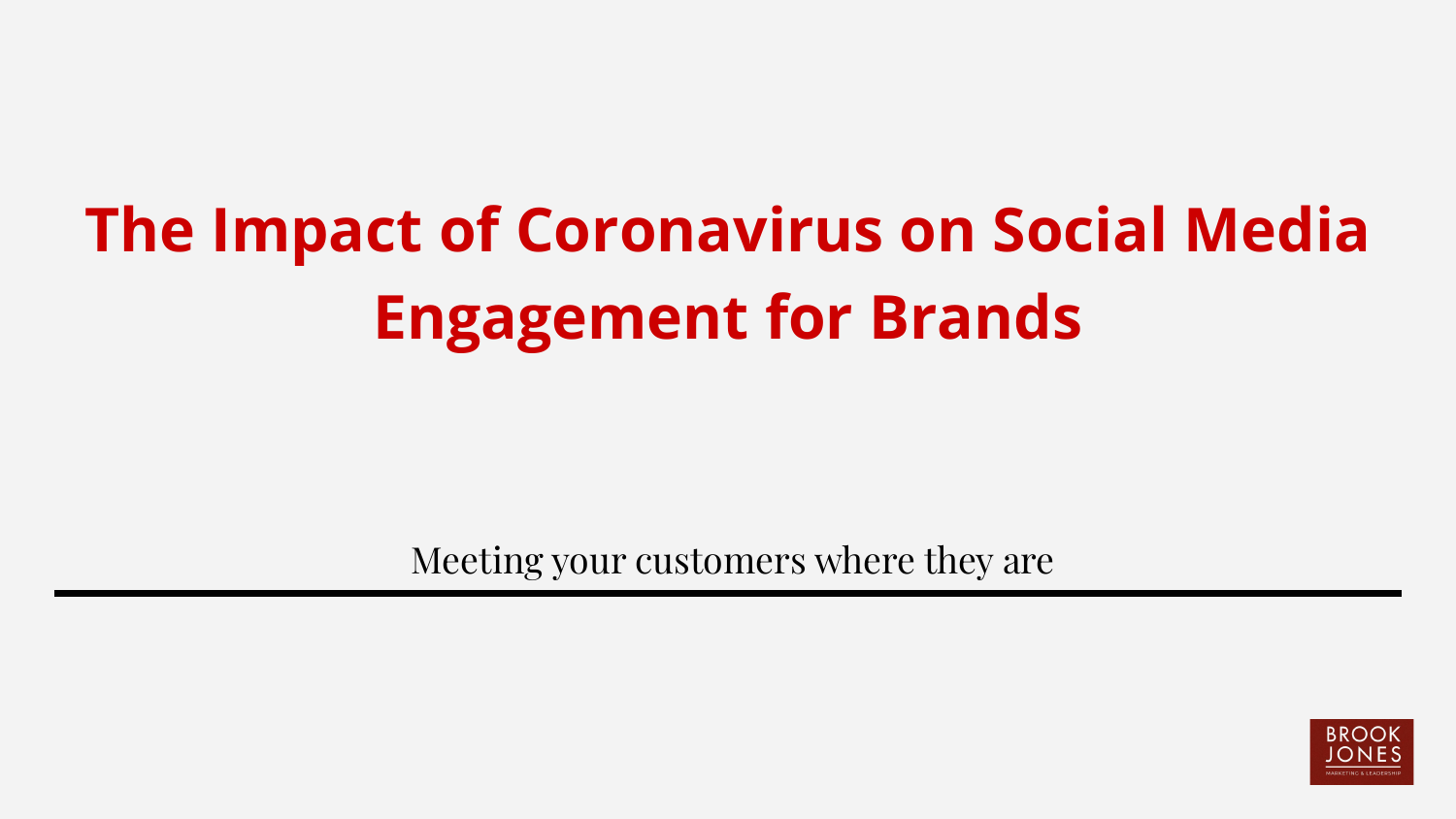# **The Impact of Coronavirus on Social Media Engagement for Brands**

Meeting your customers where they are

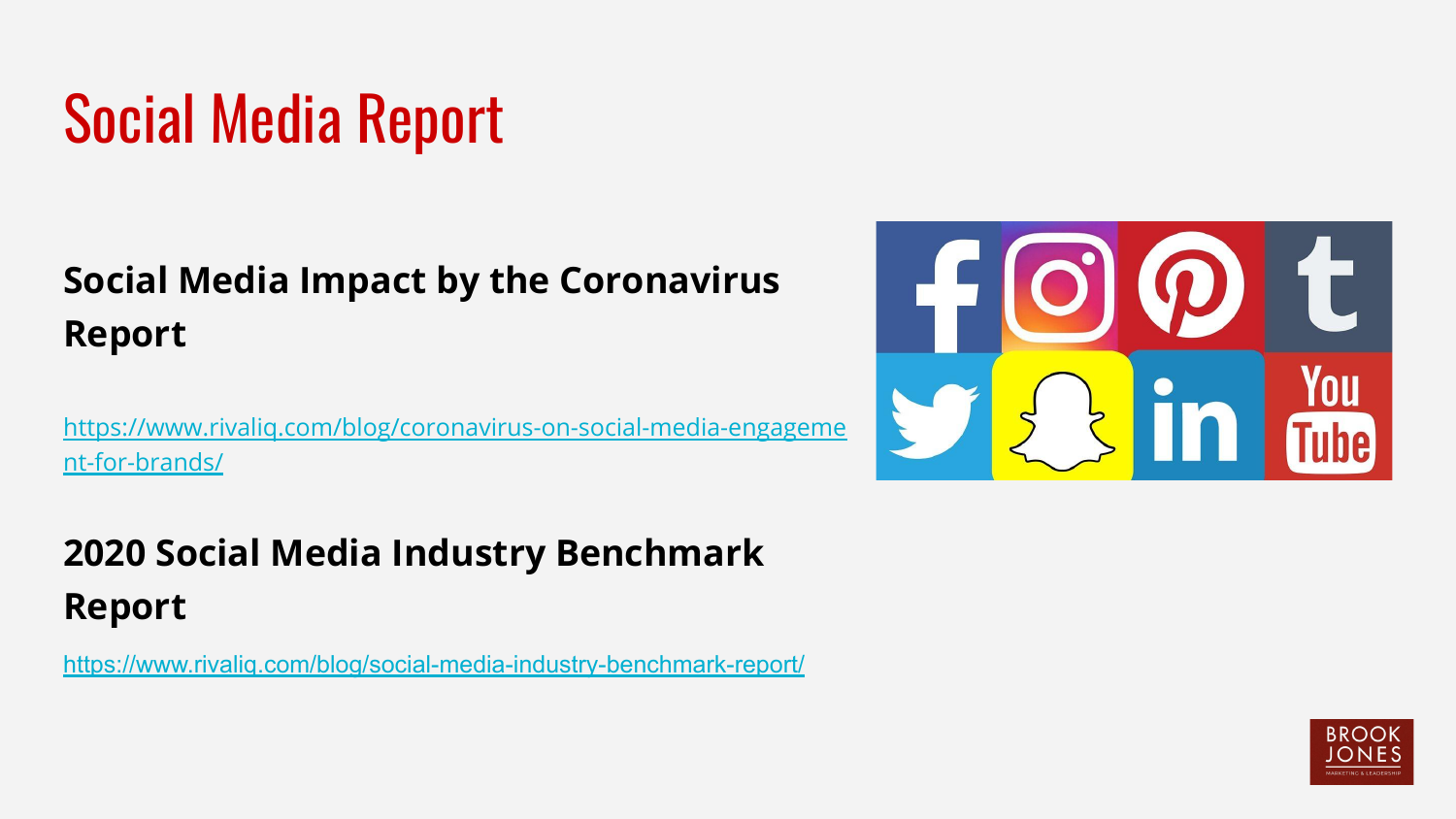## Social Media Report

### **Social Media Impact by the Coronavirus Report**

[https://www.rivaliq.com/blog/coronavirus-on-social-media-engageme](https://www.rivaliq.com/blog/coronavirus-on-social-media-engagement-for-brands/) [nt-for-brands/](https://www.rivaliq.com/blog/coronavirus-on-social-media-engagement-for-brands/)

### **2020 Social Media Industry Benchmark Report**

<https://www.rivaliq.com/blog/social-media-industry-benchmark-report/>



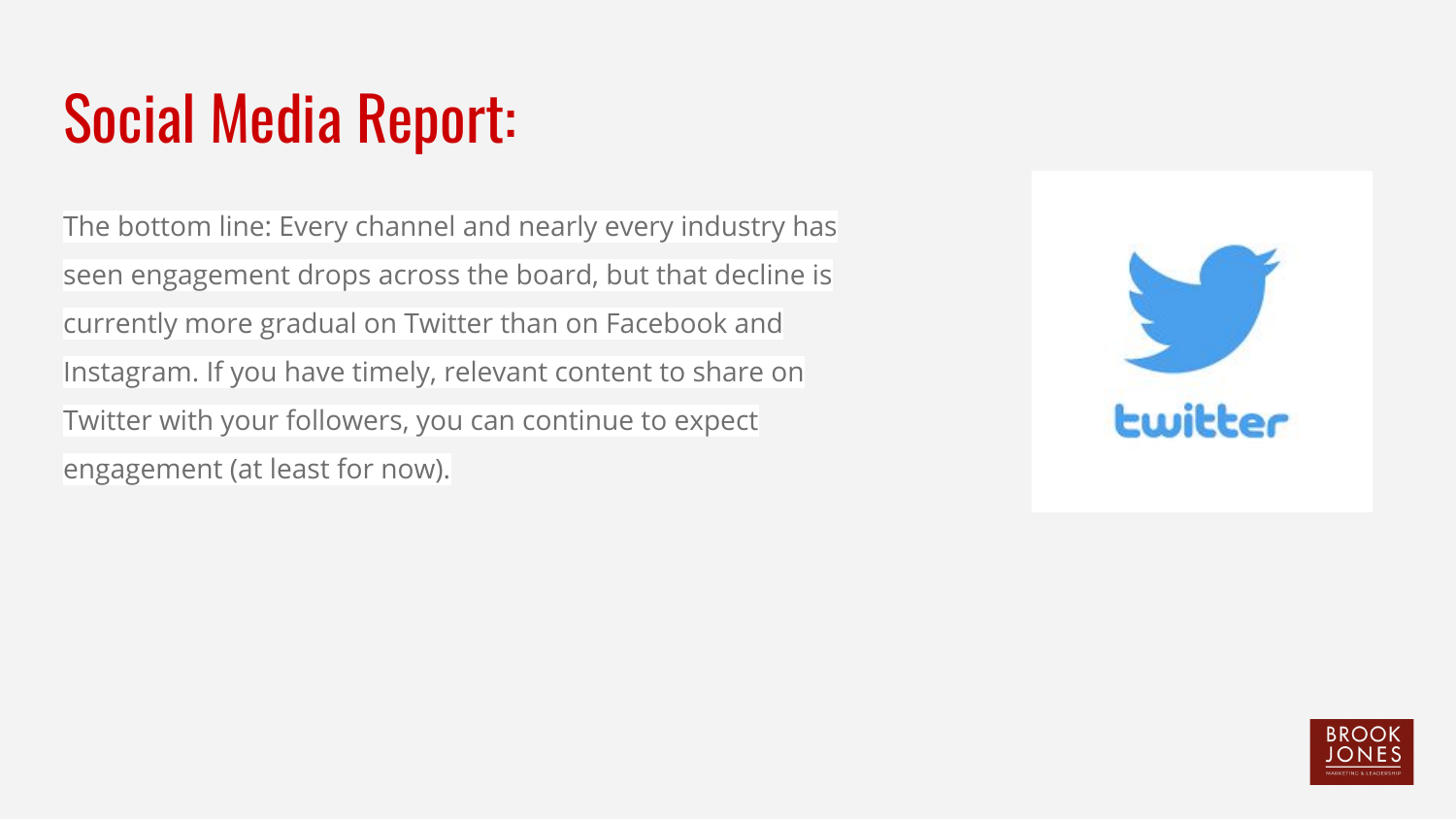## Social Media Report:

The bottom line: Every channel and nearly every industry has seen engagement drops across the board, but that decline is currently more gradual on Twitter than on Facebook and Instagram. If you have timely, relevant content to share on Twitter with your followers, you can continue to expect engagement (at least for now).